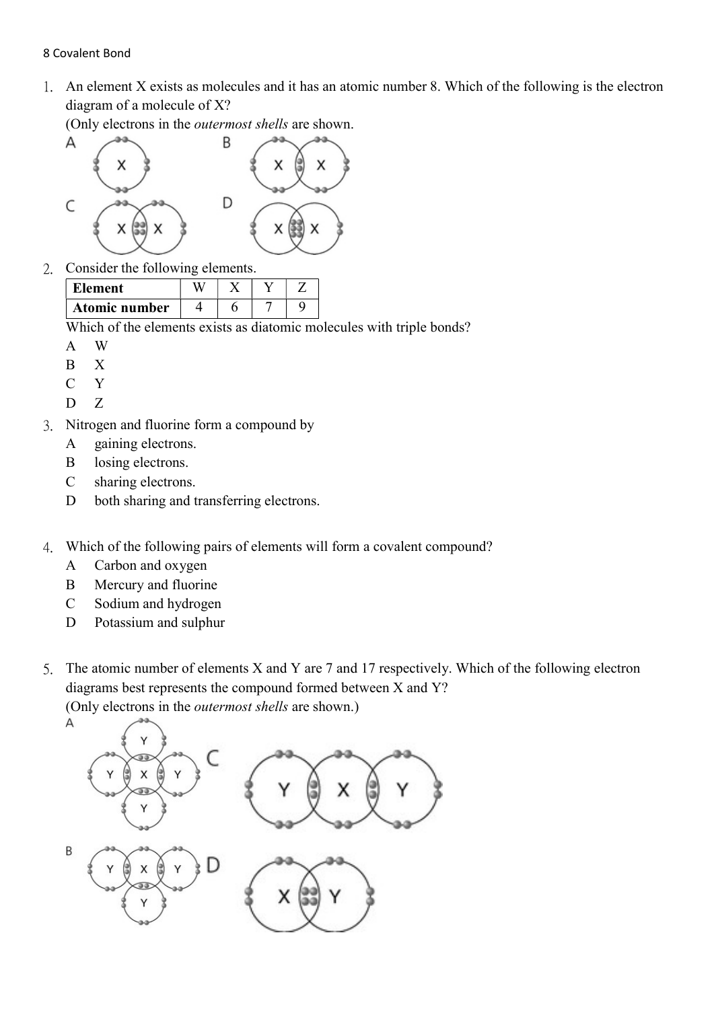## 8 Covalent Bond

1. An element X exists as molecules and it has an atomic number 8. Which of the following is the electron diagram of a molecule of X?

(Only electrons in the outermost shells are shown.



2. Consider the following elements.

| Element       |  |  |
|---------------|--|--|
| Atomic number |  |  |

Which of the elements exists as diatomic molecules with triple bonds?

- A W
- B X
- C Y
- D Z
- 3. Nitrogen and fluorine form a compound by
	- A gaining electrons.
	- B losing electrons.
	- C sharing electrons.
	- D both sharing and transferring electrons.
- 4. Which of the following pairs of elements will form a covalent compound?
	- A Carbon and oxygen
	- B Mercury and fluorine
	- C Sodium and hydrogen
	- D Potassium and sulphur
- 5. The atomic number of elements X and Y are 7 and 17 respectively. Which of the following electron diagrams best represents the compound formed between X and Y? (Only electrons in the outermost shells are shown.)

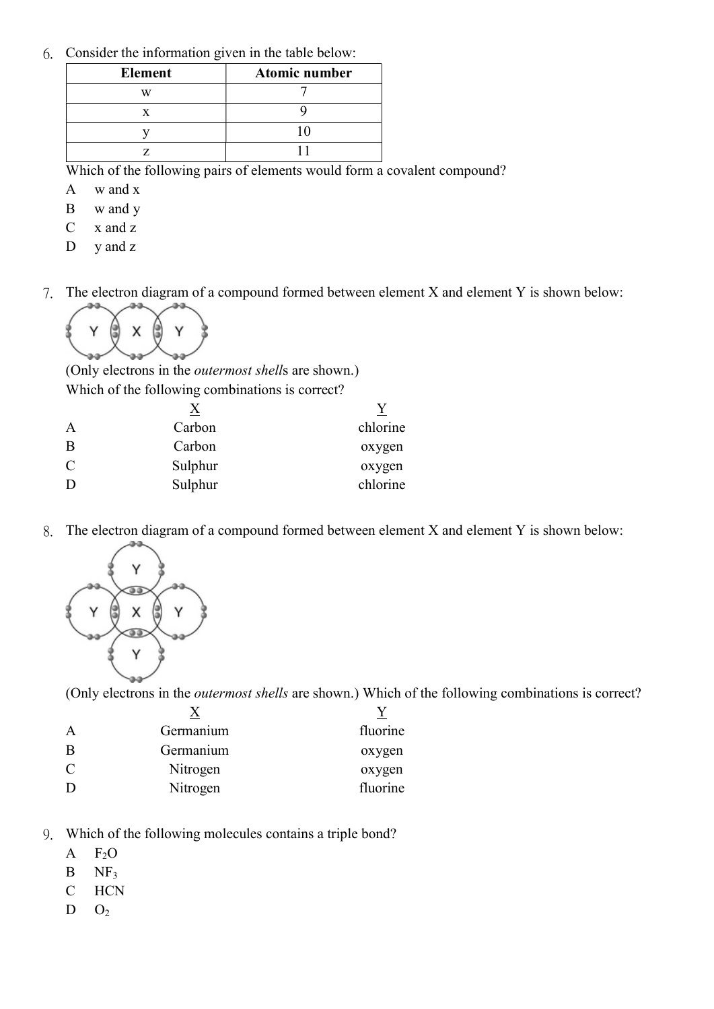6. Consider the information given in the table below:

| <b>Element</b> | Atomic number |  |  |  |
|----------------|---------------|--|--|--|
| vх             |               |  |  |  |
|                |               |  |  |  |
|                |               |  |  |  |
|                |               |  |  |  |

Which of the following pairs of elements would form a covalent compound?

- A w and x
- B w and y
- C x and z
- D y and z
- 7. The electron diagram of a compound formed between element X and element Y is shown below:



(Only electrons in the outermost shells are shown.) Which of the following combinations is correct?

|                | X       |          |
|----------------|---------|----------|
| A              | Carbon  | chlorine |
| B              | Carbon  | oxygen   |
| $\overline{C}$ | Sulphur | oxygen   |
| D              | Sulphur | chlorine |
|                |         |          |

8. The electron diagram of a compound formed between element X and element Y is shown below:



(Only electrons in the outermost shells are shown.) Which of the following combinations is correct?

| Germanium | fluorine |
|-----------|----------|
| Germanium | oxygen   |
| Nitrogen  | oxygen   |
| Nitrogen  | fluorine |
|           |          |

- 9. Which of the following molecules contains a triple bond?
	- $A$   $F_2O$
	- $B$  NF<sub>3</sub>
	- C HCN
	- $D$   $O_2$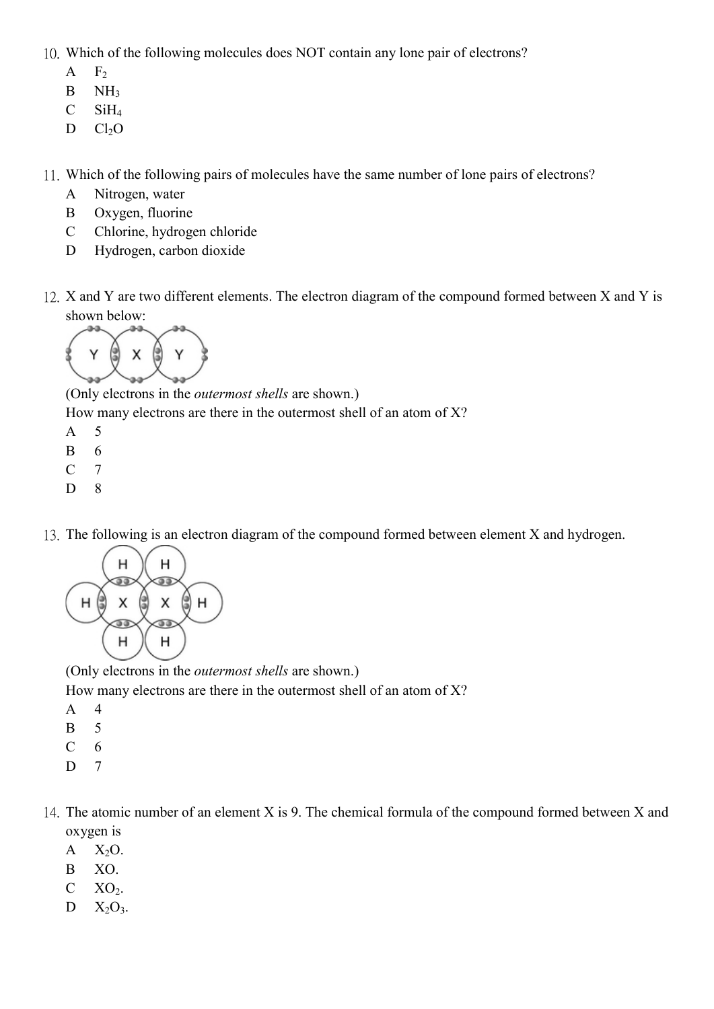10. Which of the following molecules does NOT contain any lone pair of electrons?

- $A$   $F_2$
- B NH<sub>3</sub>
- $C$  SiH<sub>4</sub>
- $D$   $Cl<sub>2</sub>O$

11. Which of the following pairs of molecules have the same number of lone pairs of electrons?

- A Nitrogen, water
- B Oxygen, fluorine
- C Chlorine, hydrogen chloride
- D Hydrogen, carbon dioxide
- 12. X and Y are two different elements. The electron diagram of the compound formed between X and Y is shown below:



(Only electrons in the outermost shells are shown.)

How many electrons are there in the outermost shell of an atom of X?

- A 5
- B 6
- C 7
- D 8
- 13. The following is an electron diagram of the compound formed between element X and hydrogen.



(Only electrons in the outermost shells are shown.)

How many electrons are there in the outermost shell of an atom of X?

- A 4
- B 5
- $C \quad 6$
- D 7
- 14. The atomic number of an element X is 9. The chemical formula of the compound formed between X and oxygen is
	- $A$   $X_2O$ .
	- B XO.
	- $C$   $XO<sub>2</sub>$ .
	- $D$   $X_2O_3$ .